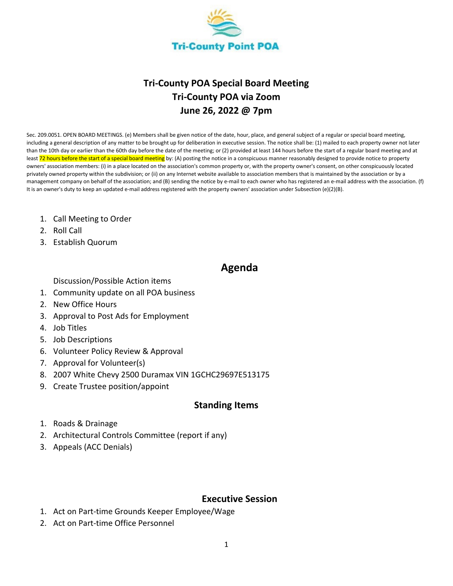

# **Tri-County POA Special Board Meeting Tri-County POA via Zoom June 26, 2022 @ 7pm**

Sec. 209.0051. OPEN BOARD MEETINGS. (e) Members shall be given notice of the date, hour, place, and general subject of a regular or special board meeting, including a general description of any matter to be brought up for deliberation in executive session. The notice shall be: (1) mailed to each property owner not later than the 10th day or earlier than the 60th day before the date of the meeting; or (2) provided at least 144 hours before the start of a regular board meeting and at least 72 hours before the start of a special board meeting by: (A) posting the notice in a conspicuous manner reasonably designed to provide notice to property owners' association members: (i) in a place located on the association's common property or, with the property owner's consent, on other conspicuously located privately owned property within the subdivision; or (ii) on any Internet website available to association members that is maintained by the association or by a management company on behalf of the association; and (B) sending the notice by e-mail to each owner who has registered an e-mail address with the association. (f) It is an owner's duty to keep an updated e-mail address registered with the property owners' association under Subsection (e)(2)(B).

- 1. Call Meeting to Order
- 2. Roll Call
- 3. Establish Quorum

# **Agenda**

Discussion/Possible Action items

- 1. Community update on all POA business
- 2. New Office Hours
- 3. Approval to Post Ads for Employment
- 4. Job Titles
- 5. Job Descriptions
- 6. Volunteer Policy Review & Approval
- 7. Approval for Volunteer(s)
- 8. 2007 White Chevy 2500 Duramax VIN 1GCHC29697E513175
- 9. Create Trustee position/appoint

### **Standing Items**

- 1. Roads & Drainage
- 2. Architectural Controls Committee (report if any)
- 3. Appeals (ACC Denials)

#### **Executive Session**

- 1. Act on Part-time Grounds Keeper Employee/Wage
- 2. Act on Part-time Office Personnel